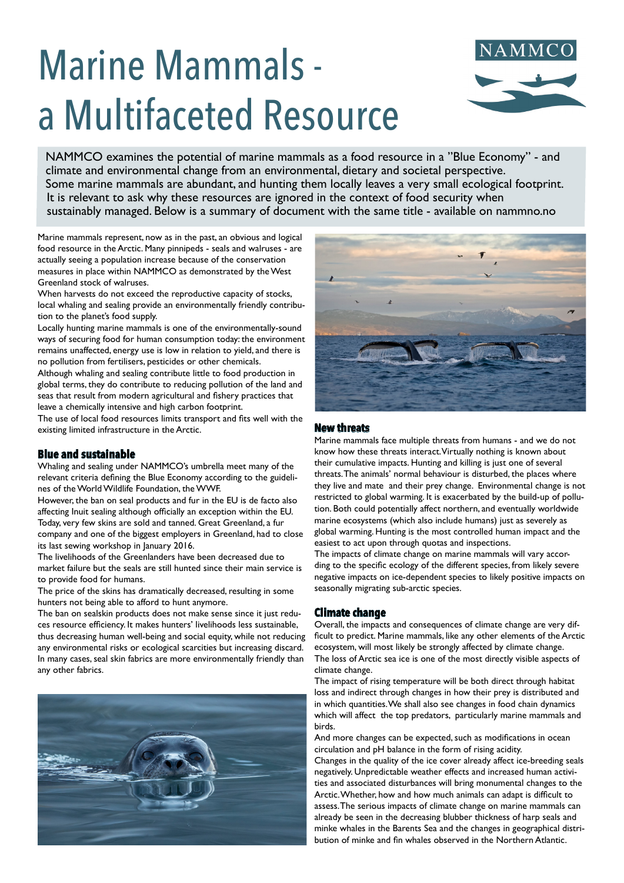# Marine Mammals a Multifaceted Resource



NAMMCO examines the potential of marine mammals as a food resource in a "Blue Economy" - and climate and environmental change from an environmental, dietary and societal perspective. Some marine mammals are abundant, and hunting them locally leaves a very small ecological footprint. It is relevant to ask why these resources are ignored in the context of food security when sustainably managed. Below is a summary of document with the same title - available on nammno.no

Marine mammals represent, now as in the past, an obvious and logical food resource in the Arctic. Many pinnipeds - seals and walruses - are actually seeing a population increase because of the conservation measures in place within NAMMCO as demonstrated by the West Greenland stock of walruses.

When harvests do not exceed the reproductive capacity of stocks, local whaling and sealing provide an environmentally friendly contribution to the planet's food supply.

Locally hunting marine mammals is one of the environmentally-sound ways of securing food for human consumption today: the environment remains unaffected, energy use is low in relation to yield, and there is no pollution from fertilisers, pesticides or other chemicals.

Although whaling and sealing contribute little to food production in global terms, they do contribute to reducing pollution of the land and seas that result from modern agricultural and fishery practices that leave a chemically intensive and high carbon footprint.

The use of local food resources limits transport and fits well with the existing limited infrastructure in the Arctic.

# **Blue and sustainable**

Whaling and sealing under NAMMCO's umbrella meet many of the relevant criteria defining the Blue Economy according to the guidelines of the World Wildlife Foundation, the WWF.

However, the ban on seal products and fur in the EU is de facto also affecting Inuit sealing although officially an exception within the EU. Today, very few skins are sold and tanned. Great Greenland, a fur company and one of the biggest employers in Greenland, had to close its last sewing workshop in January 2016.

The livelihoods of the Greenlanders have been decreased due to market failure but the seals are still hunted since their main service is to provide food for humans.

The price of the skins has dramatically decreased, resulting in some hunters not being able to afford to hunt anymore.

The ban on sealskin products does not make sense since it just reduces resource efficiency. It makes hunters' livelihoods less sustainable, thus decreasing human well-being and social equity, while not reducing any environmental risks or ecological scarcities but increasing discard. In many cases, seal skin fabrics are more environmentally friendly than any other fabrics.





## **New threats**

Marine mammals face multiple threats from humans - and we do not know how these threats interact. Virtually nothing is known about their cumulative impacts. Hunting and killing is just one of several threats. The animals' normal behaviour is disturbed, the places where they live and mate and their prey change. Environmental change is not restricted to global warming. It is exacerbated by the build-up of pollution. Both could potentially affect northern, and eventually worldwide marine ecosystems (which also include humans) just as severely as global warming. Hunting is the most controlled human impact and the easiest to act upon through quotas and inspections.

The impacts of climate change on marine mammals will vary according to the specific ecology of the different species, from likely severe negative impacts on ice-dependent species to likely positive impacts on seasonally migrating sub-arctic species.

# **Climate change**

Overall, the impacts and consequences of climate change are very difficult to predict. Marine mammals, like any other elements of the Arctic ecosystem, will most likely be strongly affected by climate change. The loss of Arctic sea ice is one of the most directly visible aspects of climate change.

The impact of rising temperature will be both direct through habitat loss and indirect through changes in how their prey is distributed and in which quantities. We shall also see changes in food chain dynamics which will affect the top predators, particularly marine mammals and birds.

And more changes can be expected, such as modifications in ocean circulation and pH balance in the form of rising acidity.

Changes in the quality of the ice cover already affect ice-breeding seals negatively. Unpredictable weather effects and increased human activities and associated disturbances will bring monumental changes to the Arctic. Whether, how and how much animals can adapt is difficult to assess. The serious impacts of climate change on marine mammals can already be seen in the decreasing blubber thickness of harp seals and minke whales in the Barents Sea and the changes in geographical distribution of minke and fin whales observed in the Northern Atlantic.